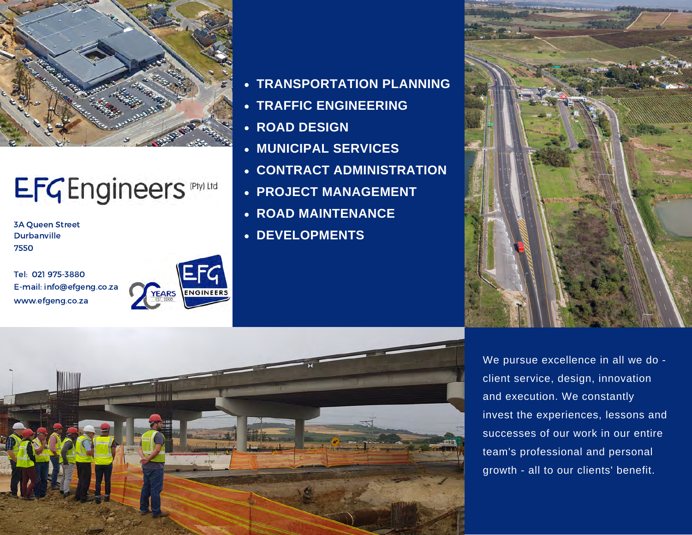

# EFGEngineers Phylltd

3A Queen Street **Durbanville** 7550

Tel: 021 975-3880 E-mail: info@efgeng.co.za www.efgeng.co.za



- **TRANSPORTATION PLANNING**
- **TRAFFIC ENGINEERING**
- **ROAD DESIGN**
- **MUNICIPAL SERVICES**
- **CONTRACT ADMINISTRATION**
- **PROJECT MANAGEMENT**
- **ROAD MAINTENANCE**
- **DEVELOPMENTS**





We pursue excellence in all we do client service, design, innovation and execution. We constantly invest the experiences, lessons and successes of our work in our entire team's professional and personal growth - all to our clients' benefit.